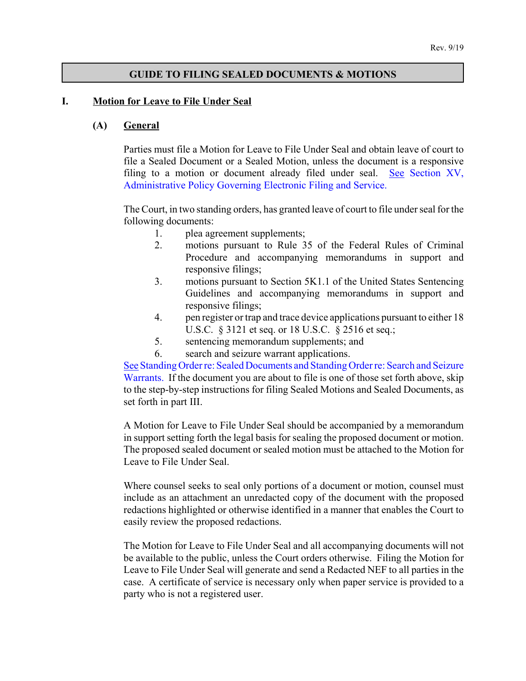### **GUIDE TO FILING SEALED DOCUMENTS & MOTIONS**

#### **I. Motion for Leave to File Under Seal**

#### **(A) General**

Parties must file a Motion for Leave to File Under Seal and obtain leave of court to file a Sealed Document or a Sealed Motion, unless the document is a responsive [filing to a motion or document already filed under seal. See Section XV,](http://www.ndd.uscourts.gov/ecf/cm_ecf_policy.pdf) Administrative Policy Governing Electronic Filing and Service.

The Court, in two standing orders, has granted leave of court to file under seal for the following documents:

- 1. plea agreement supplements;
- 2. motions pursuant to Rule 35 of the Federal Rules of Criminal Procedure and accompanying memorandums in support and responsive filings;
- 3. motions pursuant to Section 5K1.1 of the United States Sentencing Guidelines and accompanying memorandums in support and responsive filings;
- 4. pen register or trap and trace device applications pursuant to either 18 U.S.C. § 3121 et seq. or 18 U.S.C. § 2516 et seq.;
- 5. sentencing memorandum supplements; and
- 6. search and seizure warrant applications.

[See Standing Order re: Sealed Documents and Standing Order re: Search and Seizure](http://www.ndd.uscourts.gov/StandingOrders/2019_09_18.pdf) Warrants. If the document you are about to file is one of those set forth above, skip to the step-by-step instructions for filing Sealed Motions and Sealed Documents, as set forth in part III.

A Motion for Leave to File Under Seal should be accompanied by a memorandum in support setting forth the legal basis for sealing the proposed document or motion. The proposed sealed document or sealed motion must be attached to the Motion for Leave to File Under Seal.

Where counsel seeks to seal only portions of a document or motion, counsel must include as an attachment an unredacted copy of the document with the proposed redactions highlighted or otherwise identified in a manner that enables the Court to easily review the proposed redactions.

The Motion for Leave to File Under Seal and all accompanying documents will not be available to the public, unless the Court orders otherwise. Filing the Motion for Leave to File Under Seal will generate and send a Redacted NEF to all parties in the case. A certificate of service is necessary only when paper service is provided to a party who is not a registered user.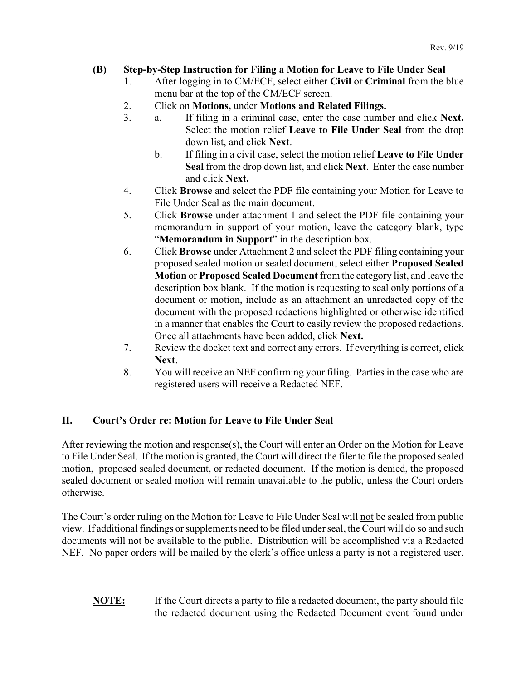# **(B) Step-by-Step Instruction for Filing a Motion for Leave to File Under Seal**

- 1. After logging in to CM/ECF, select either **Civil** or **Criminal** from the blue menu bar at the top of the CM/ECF screen.
- 2. Click on **Motions,** under **Motions and Related Filings.**
- 3. a. If filing in a criminal case, enter the case number and click **Next.** Select the motion relief **Leave to File Under Seal** from the drop down list, and click **Next**.
	- b. If filing in a civil case, select the motion relief **Leave to File Under Seal** from the drop down list, and click **Next**. Enter the case number and click **Next.**
- 4. Click **Browse** and select the PDF file containing your Motion for Leave to File Under Seal as the main document.
- 5. Click **Browse** under attachment 1 and select the PDF file containing your memorandum in support of your motion, leave the category blank, type "**Memorandum in Support**" in the description box.
- 6. Click **Browse** under Attachment 2 and select the PDF filing containing your proposed sealed motion or sealed document, select either **Proposed Sealed Motion** or **Proposed Sealed Document** from the category list, and leave the description box blank. If the motion is requesting to seal only portions of a document or motion, include as an attachment an unredacted copy of the document with the proposed redactions highlighted or otherwise identified in a manner that enables the Court to easily review the proposed redactions. Once all attachments have been added, click **Next.**
- 7. Review the docket text and correct any errors. If everything is correct, click **Next**.
- 8. You will receive an NEF confirming your filing. Parties in the case who are registered users will receive a Redacted NEF.

# **II. Court's Order re: Motion for Leave to File Under Seal**

After reviewing the motion and response(s), the Court will enter an Order on the Motion for Leave to File Under Seal. If the motion is granted, the Court will direct the filer to file the proposed sealed motion, proposed sealed document, or redacted document. If the motion is denied, the proposed sealed document or sealed motion will remain unavailable to the public, unless the Court orders otherwise.

The Court's order ruling on the Motion for Leave to File Under Seal will not be sealed from public view. If additional findings or supplements need to be filed under seal, the Court will do so and such documents will not be available to the public. Distribution will be accomplished via a Redacted NEF. No paper orders will be mailed by the clerk's office unless a party is not a registered user.

**NOTE:** If the Court directs a party to file a redacted document, the party should file the redacted document using the Redacted Document event found under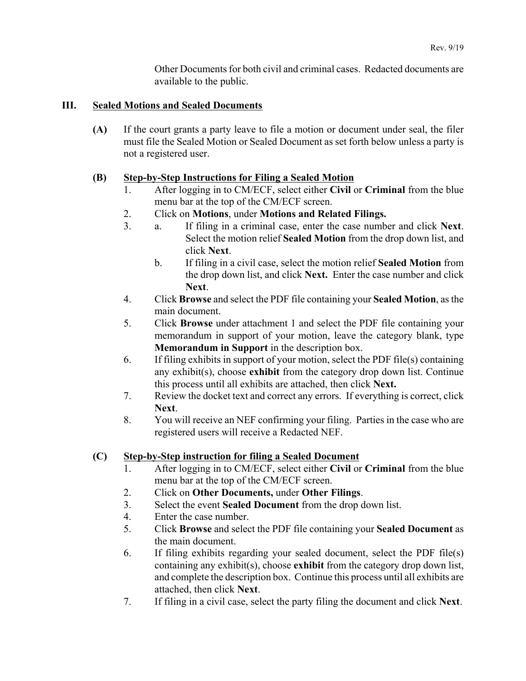Other Documents for both civil and criminal cases. Redacted documents are available to the public.

### **III. Sealed Motions and Sealed Documents**

**(A)** If the court grants a party leave to file a motion or document under seal, the filer must file the Sealed Motion or Sealed Document as set forth below unless a party is not a registered user.

### **(B) Step-by-Step Instructions for Filing a Sealed Motion**

- 1. After logging in to CM/ECF, select either **Civil** or **Criminal** from the blue menu bar at the top of the CM/ECF screen.
- 2. Click on **Motions**, under **Motions and Related Filings.**
- 3. a. If filing in a criminal case, enter the case number and click **Next**. Select the motion relief **Sealed Motion** from the drop down list, and click **Next**.
	- b. If filing in a civil case, select the motion relief **Sealed Motion** from the drop down list, and click **Next.** Enter the case number and click **Next**.
- 4. Click **Browse** and select the PDF file containing your **Sealed Motion**, as the main document.
- 5. Click **Browse** under attachment 1 and select the PDF file containing your memorandum in support of your motion, leave the category blank, type **Memorandum in Support** in the description box.
- 6. If filing exhibits in support of your motion, select the PDF file(s) containing any exhibit(s), choose **exhibit** from the category drop down list. Continue this process until all exhibits are attached, then click **Next.**
- 7. Review the docket text and correct any errors. If everything is correct, click **Next**.
- 8. You will receive an NEF confirming your filing. Parties in the case who are registered users will receive a Redacted NEF.

## **(C) Step-by-Step instruction for filing a Sealed Document**

- 1. After logging in to CM/ECF, select either **Civil** or **Criminal** from the blue menu bar at the top of the CM/ECF screen.
- 2. Click on **Other Documents,** under **Other Filings**.
- 3. Select the event **Sealed Document** from the drop down list.
- 4. Enter the case number.
- 5. Click **Browse** and select the PDF file containing your **Sealed Document** as the main document.
- 6. If filing exhibits regarding your sealed document, select the PDF file(s) containing any exhibit(s), choose **exhibit** from the category drop down list, and complete the description box. Continue this process until all exhibits are attached, then click **Next**.
- 7. If filing in a civil case, select the party filing the document and click **Next**.